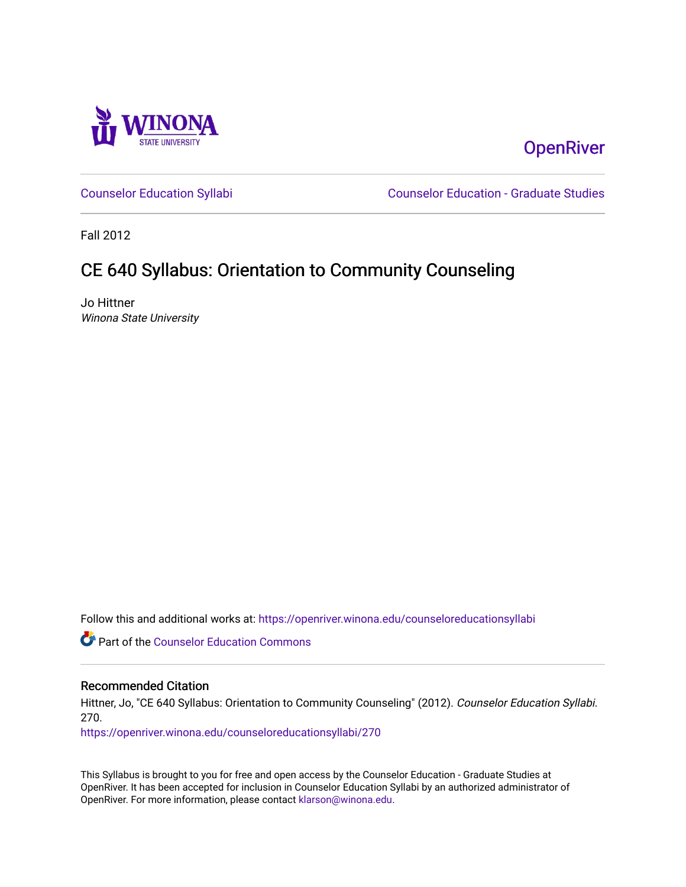

## **OpenRiver**

[Counselor Education Syllabi](https://openriver.winona.edu/counseloreducationsyllabi) [Counselor Education - Graduate Studies](https://openriver.winona.edu/counseloreducation) 

Fall 2012

# CE 640 Syllabus: Orientation to Community Counseling

Jo Hittner Winona State University

Follow this and additional works at: [https://openriver.winona.edu/counseloreducationsyllabi](https://openriver.winona.edu/counseloreducationsyllabi?utm_source=openriver.winona.edu%2Fcounseloreducationsyllabi%2F270&utm_medium=PDF&utm_campaign=PDFCoverPages)

Part of the [Counselor Education Commons](http://network.bepress.com/hgg/discipline/1278?utm_source=openriver.winona.edu%2Fcounseloreducationsyllabi%2F270&utm_medium=PDF&utm_campaign=PDFCoverPages) 

#### Recommended Citation

Hittner, Jo, "CE 640 Syllabus: Orientation to Community Counseling" (2012). Counselor Education Syllabi. 270.

[https://openriver.winona.edu/counseloreducationsyllabi/270](https://openriver.winona.edu/counseloreducationsyllabi/270?utm_source=openriver.winona.edu%2Fcounseloreducationsyllabi%2F270&utm_medium=PDF&utm_campaign=PDFCoverPages)

This Syllabus is brought to you for free and open access by the Counselor Education - Graduate Studies at OpenRiver. It has been accepted for inclusion in Counselor Education Syllabi by an authorized administrator of OpenRiver. For more information, please contact [klarson@winona.edu](mailto:klarson@winona.edu).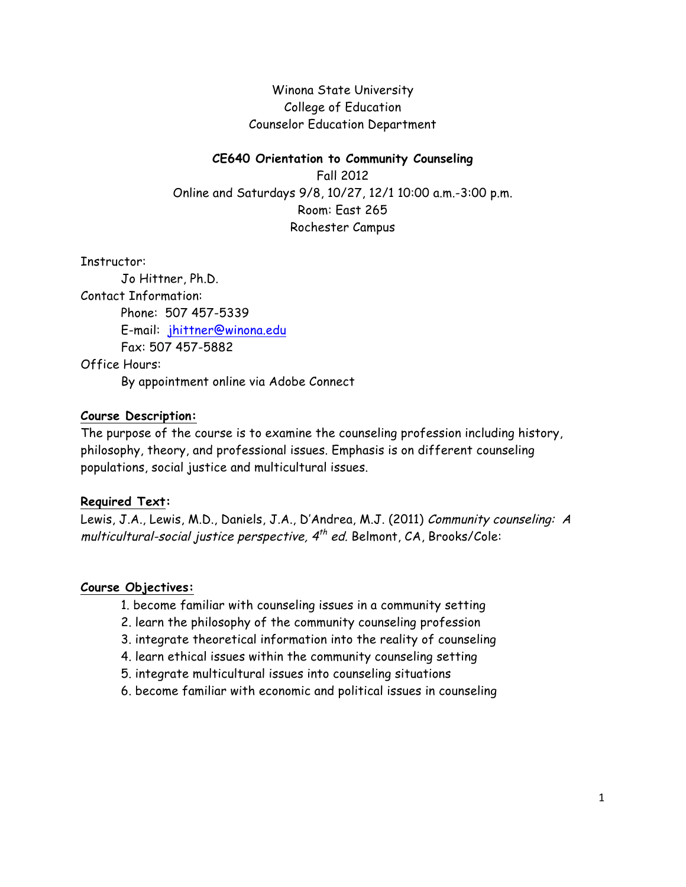Winona State University College of Education Counselor Education Department

#### **CE640 Orientation to Community Counseling**

Fall 2012 Online and Saturdays 9/8, 10/27, 12/1 10:00 a.m.-3:00 p.m. Room: East 265 Rochester Campus

Instructor:

Jo Hittner, Ph.D. Contact Information: Phone: 507 457-5339 E-mail: jhittner@winona.edu Fax: 507 457-5882 Office Hours:

By appointment online via Adobe Connect

#### **Course Description:**

The purpose of the course is to examine the counseling profession including history, philosophy, theory, and professional issues. Emphasis is on different counseling populations, social justice and multicultural issues.

#### **Required Text:**

Lewis, J.A., Lewis, M.D., Daniels, J.A., D'Andrea, M.J. (2011) Community counseling: A multicultural-social justice perspective,  $4<sup>th</sup>$  ed. Belmont, CA, Brooks/Cole:

#### **Course Objectives:**

- 1. become familiar with counseling issues in a community setting
- 2. learn the philosophy of the community counseling profession
- 3. integrate theoretical information into the reality of counseling
- 4. learn ethical issues within the community counseling setting
- 5. integrate multicultural issues into counseling situations
- 6. become familiar with economic and political issues in counseling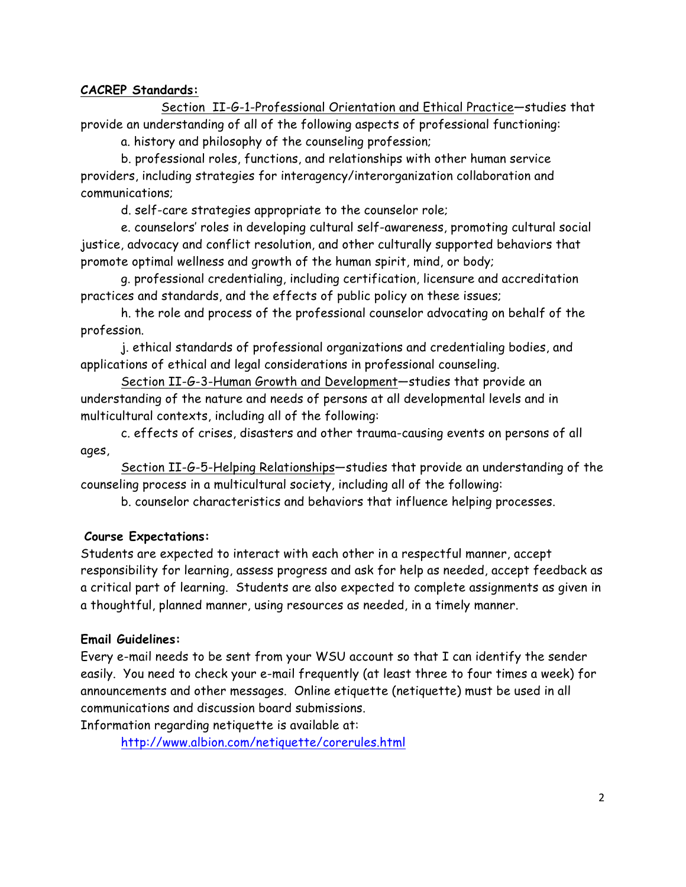#### **CACREP Standards:**

Section II-G-1-Professional Orientation and Ethical Practice—studies that provide an understanding of all of the following aspects of professional functioning:

a. history and philosophy of the counseling profession;

b. professional roles, functions, and relationships with other human service providers, including strategies for interagency/interorganization collaboration and communications;

d. self-care strategies appropriate to the counselor role;

e. counselors' roles in developing cultural self-awareness, promoting cultural social justice, advocacy and conflict resolution, and other culturally supported behaviors that promote optimal wellness and growth of the human spirit, mind, or body;

g. professional credentialing, including certification, licensure and accreditation practices and standards, and the effects of public policy on these issues;

h. the role and process of the professional counselor advocating on behalf of the profession.

j. ethical standards of professional organizations and credentialing bodies, and applications of ethical and legal considerations in professional counseling.

Section II-G-3-Human Growth and Development—studies that provide an understanding of the nature and needs of persons at all developmental levels and in multicultural contexts, including all of the following:

c. effects of crises, disasters and other trauma-causing events on persons of all ages,

Section II-G-5-Helping Relationships—studies that provide an understanding of the counseling process in a multicultural society, including all of the following:

b. counselor characteristics and behaviors that influence helping processes.

#### **Course Expectations:**

Students are expected to interact with each other in a respectful manner, accept responsibility for learning, assess progress and ask for help as needed, accept feedback as a critical part of learning. Students are also expected to complete assignments as given in a thoughtful, planned manner, using resources as needed, in a timely manner.

#### **Email Guidelines:**

Every e-mail needs to be sent from your WSU account so that I can identify the sender easily. You need to check your e-mail frequently (at least three to four times a week) for announcements and other messages. Online etiquette (netiquette) must be used in all communications and discussion board submissions.

Information regarding netiquette is available at:

http://www.albion.com/netiquette/corerules.html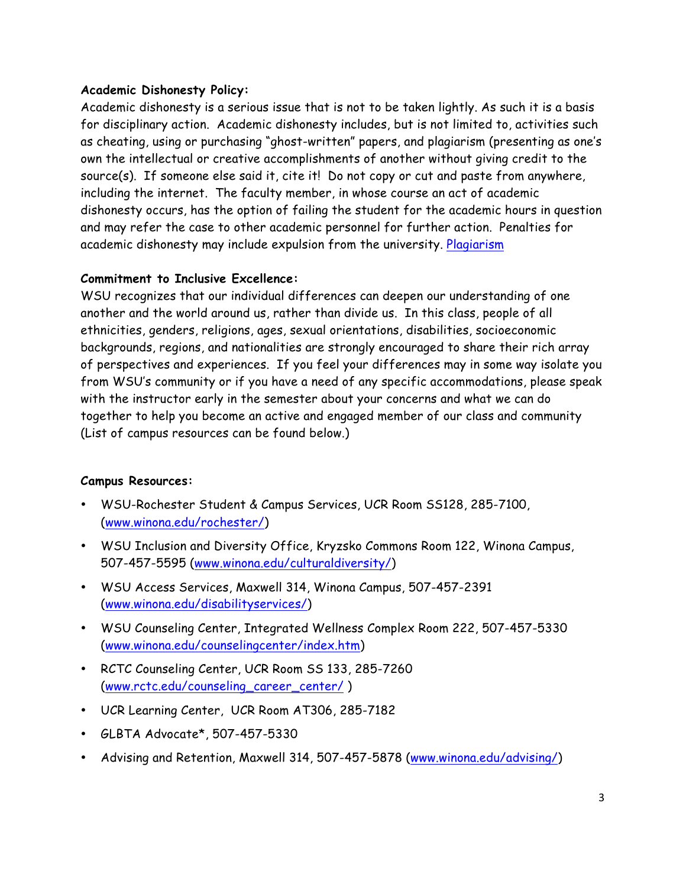#### **Academic Dishonesty Policy:**

Academic dishonesty is a serious issue that is not to be taken lightly. As such it is a basis for disciplinary action. Academic dishonesty includes, but is not limited to, activities such as cheating, using or purchasing "ghost-written" papers, and plagiarism (presenting as one's own the intellectual or creative accomplishments of another without giving credit to the source(s). If someone else said it, cite it! Do not copy or cut and paste from anywhere, including the internet. The faculty member, in whose course an act of academic dishonesty occurs, has the option of failing the student for the academic hours in question and may refer the case to other academic personnel for further action. Penalties for academic dishonesty may include expulsion from the university. Plagiarism

#### **Commitment to Inclusive Excellence:**

WSU recognizes that our individual differences can deepen our understanding of one another and the world around us, rather than divide us. In this class, people of all ethnicities, genders, religions, ages, sexual orientations, disabilities, socioeconomic backgrounds, regions, and nationalities are strongly encouraged to share their rich array of perspectives and experiences. If you feel your differences may in some way isolate you from WSU's community or if you have a need of any specific accommodations, please speak with the instructor early in the semester about your concerns and what we can do together to help you become an active and engaged member of our class and community (List of campus resources can be found below.)

#### **Campus Resources:**

- WSU-Rochester Student & Campus Services, UCR Room SS128, 285-7100, (www.winona.edu/rochester/)
- WSU Inclusion and Diversity Office, Kryzsko Commons Room 122, Winona Campus, 507-457-5595 (www.winona.edu/culturaldiversity/)
- WSU Access Services, Maxwell 314, Winona Campus, 507-457-2391 (www.winona.edu/disabilityservices/)
- WSU Counseling Center, Integrated Wellness Complex Room 222, 507-457-5330 (www.winona.edu/counselingcenter/index.htm)
- RCTC Counseling Center, UCR Room SS 133, 285-7260 (www.rctc.edu/counseling\_career\_center/ )
- UCR Learning Center, UCR Room AT306, 285-7182
- GLBTA Advocate\*, 507-457-5330
- Advising and Retention, Maxwell 314, 507-457-5878 (www.winona.edu/advising/)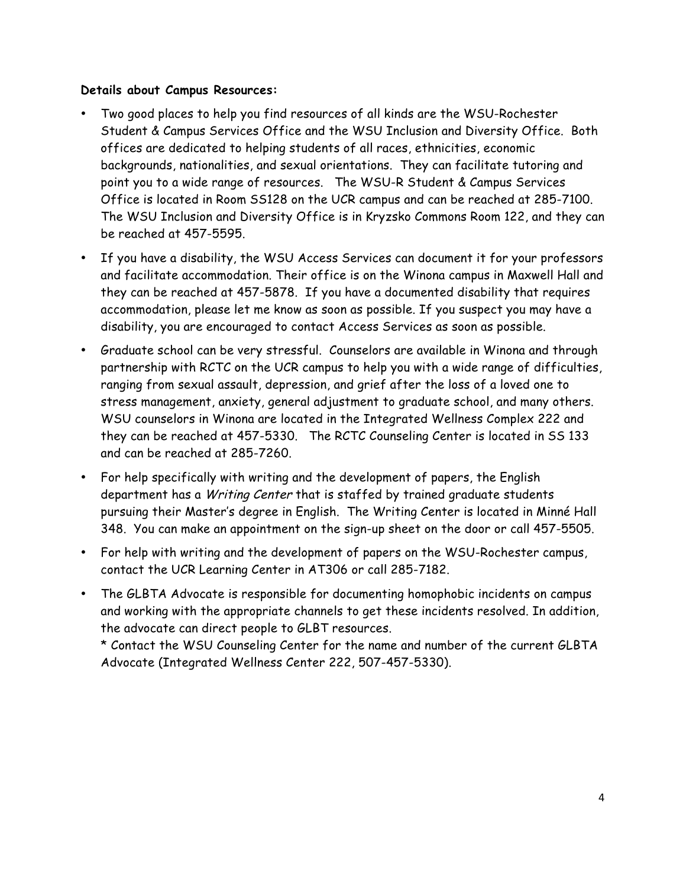#### **Details about Campus Resources:**

- Two good places to help you find resources of all kinds are the WSU-Rochester Student & Campus Services Office and the WSU Inclusion and Diversity Office. Both offices are dedicated to helping students of all races, ethnicities, economic backgrounds, nationalities, and sexual orientations. They can facilitate tutoring and point you to a wide range of resources. The WSU-R Student & Campus Services Office is located in Room SS128 on the UCR campus and can be reached at 285-7100. The WSU Inclusion and Diversity Office is in Kryzsko Commons Room 122, and they can be reached at 457-5595.
- If you have a disability, the WSU Access Services can document it for your professors and facilitate accommodation. Their office is on the Winona campus in Maxwell Hall and they can be reached at 457-5878. If you have a documented disability that requires accommodation, please let me know as soon as possible. If you suspect you may have a disability, you are encouraged to contact Access Services as soon as possible.
- Graduate school can be very stressful. Counselors are available in Winona and through partnership with RCTC on the UCR campus to help you with a wide range of difficulties, ranging from sexual assault, depression, and grief after the loss of a loved one to stress management, anxiety, general adjustment to graduate school, and many others. WSU counselors in Winona are located in the Integrated Wellness Complex 222 and they can be reached at 457-5330. The RCTC Counseling Center is located in SS 133 and can be reached at 285-7260.
- For help specifically with writing and the development of papers, the English department has a Writing Center that is staffed by trained graduate students pursuing their Master's degree in English. The Writing Center is located in Minné Hall 348. You can make an appointment on the sign-up sheet on the door or call 457-5505.
- For help with writing and the development of papers on the WSU-Rochester campus, contact the UCR Learning Center in AT306 or call 285-7182.
- The GLBTA Advocate is responsible for documenting homophobic incidents on campus and working with the appropriate channels to get these incidents resolved. In addition, the advocate can direct people to GLBT resources.

\* Contact the WSU Counseling Center for the name and number of the current GLBTA Advocate (Integrated Wellness Center 222, 507-457-5330).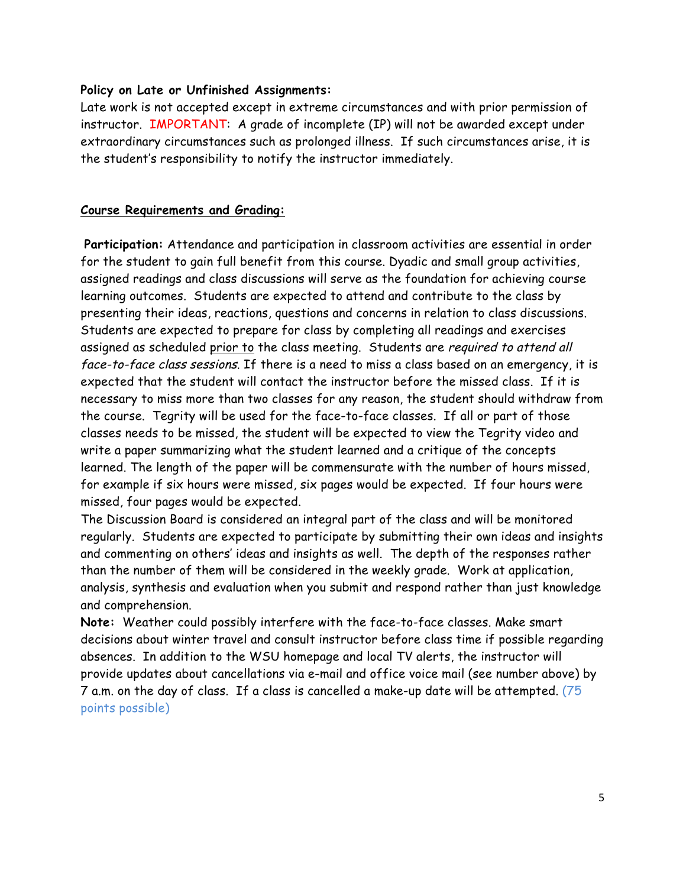#### **Policy on Late or Unfinished Assignments:**

Late work is not accepted except in extreme circumstances and with prior permission of instructor. IMPORTANT: A grade of incomplete (IP) will not be awarded except under extraordinary circumstances such as prolonged illness. If such circumstances arise, it is the student's responsibility to notify the instructor immediately.

#### **Course Requirements and Grading:**

**Participation:** Attendance and participation in classroom activities are essential in order for the student to gain full benefit from this course. Dyadic and small group activities, assigned readings and class discussions will serve as the foundation for achieving course learning outcomes. Students are expected to attend and contribute to the class by presenting their ideas, reactions, questions and concerns in relation to class discussions. Students are expected to prepare for class by completing all readings and exercises assigned as scheduled prior to the class meeting. Students are required to attend all face-to-face class sessions. If there is a need to miss a class based on an emergency, it is expected that the student will contact the instructor before the missed class. If it is necessary to miss more than two classes for any reason, the student should withdraw from the course. Tegrity will be used for the face-to-face classes. If all or part of those classes needs to be missed, the student will be expected to view the Tegrity video and write a paper summarizing what the student learned and a critique of the concepts learned. The length of the paper will be commensurate with the number of hours missed, for example if six hours were missed, six pages would be expected. If four hours were missed, four pages would be expected.

The Discussion Board is considered an integral part of the class and will be monitored regularly. Students are expected to participate by submitting their own ideas and insights and commenting on others' ideas and insights as well. The depth of the responses rather than the number of them will be considered in the weekly grade. Work at application, analysis, synthesis and evaluation when you submit and respond rather than just knowledge and comprehension.

**Note:** Weather could possibly interfere with the face-to-face classes. Make smart decisions about winter travel and consult instructor before class time if possible regarding absences. In addition to the WSU homepage and local TV alerts, the instructor will provide updates about cancellations via e-mail and office voice mail (see number above) by 7 a.m. on the day of class. If a class is cancelled a make-up date will be attempted. (75 points possible)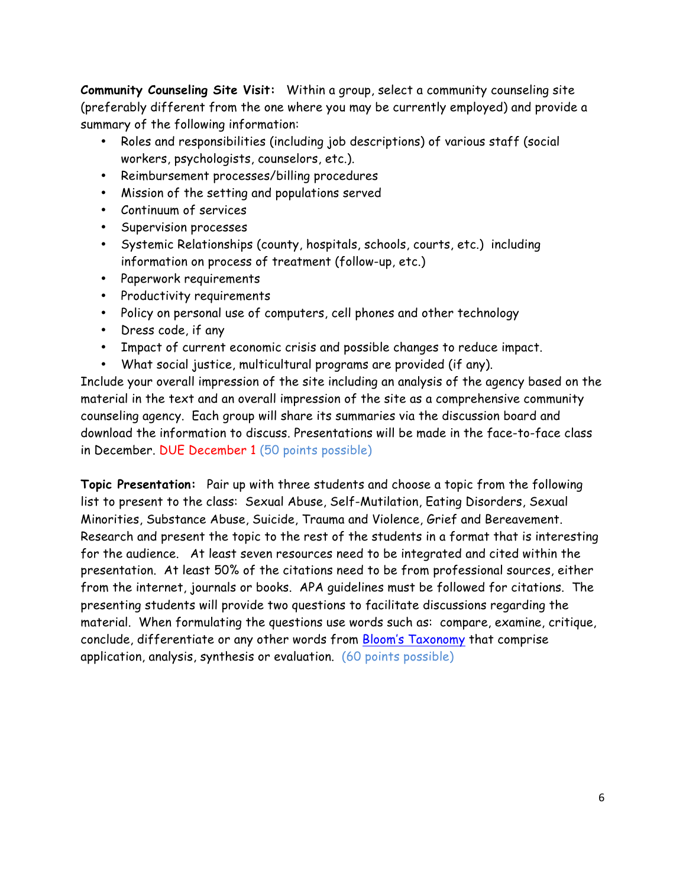**Community Counseling Site Visit:** Within a group, select a community counseling site (preferably different from the one where you may be currently employed) and provide a summary of the following information:

- Roles and responsibilities (including job descriptions) of various staff (social workers, psychologists, counselors, etc.).
- Reimbursement processes/billing procedures
- Mission of the setting and populations served
- Continuum of services
- Supervision processes
- Systemic Relationships (county, hospitals, schools, courts, etc.) including information on process of treatment (follow-up, etc.)
- Paperwork requirements
- Productivity requirements
- Policy on personal use of computers, cell phones and other technology
- Dress code, if any
- Impact of current economic crisis and possible changes to reduce impact.
- What social justice, multicultural programs are provided (if any).

Include your overall impression of the site including an analysis of the agency based on the material in the text and an overall impression of the site as a comprehensive community counseling agency. Each group will share its summaries via the discussion board and download the information to discuss. Presentations will be made in the face-to-face class in December. DUE December 1 (50 points possible)

**Topic Presentation:** Pair up with three students and choose a topic from the following list to present to the class: Sexual Abuse, Self-Mutilation, Eating Disorders, Sexual Minorities, Substance Abuse, Suicide, Trauma and Violence, Grief and Bereavement. Research and present the topic to the rest of the students in a format that is interesting for the audience. At least seven resources need to be integrated and cited within the presentation. At least 50% of the citations need to be from professional sources, either from the internet, journals or books. APA guidelines must be followed for citations. The presenting students will provide two questions to facilitate discussions regarding the material. When formulating the questions use words such as: compare, examine, critique, conclude, differentiate or any other words from Bloom's Taxonomy that comprise application, analysis, synthesis or evaluation. (60 points possible)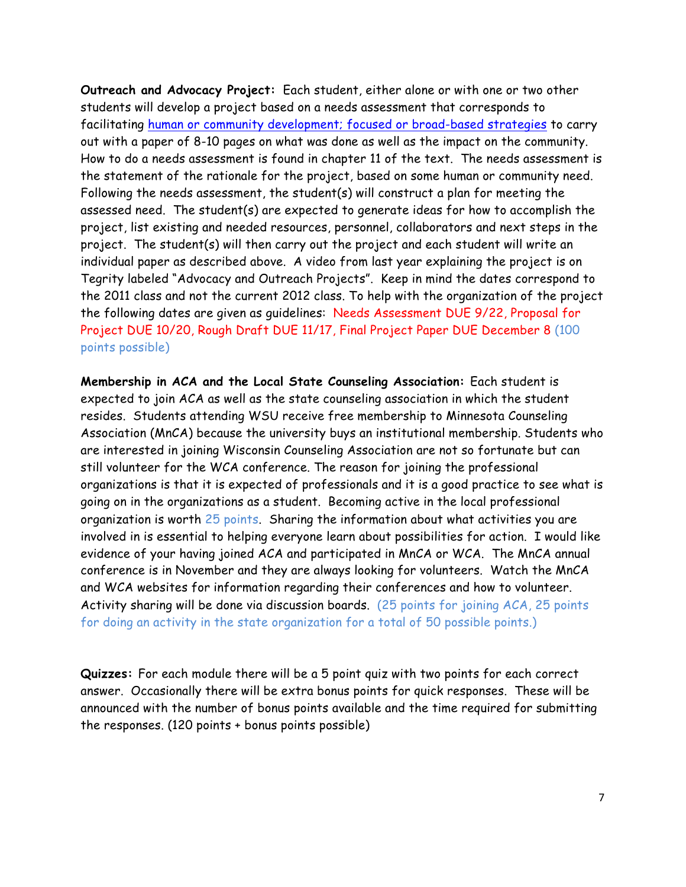**Outreach and Advocacy Project:** Each student, either alone or with one or two other students will develop a project based on a needs assessment that corresponds to facilitating human or community development; focused or broad-based strategies to carry out with a paper of 8-10 pages on what was done as well as the impact on the community. How to do a needs assessment is found in chapter 11 of the text. The needs assessment is the statement of the rationale for the project, based on some human or community need. Following the needs assessment, the student(s) will construct a plan for meeting the assessed need. The student(s) are expected to generate ideas for how to accomplish the project, list existing and needed resources, personnel, collaborators and next steps in the project. The student(s) will then carry out the project and each student will write an individual paper as described above. A video from last year explaining the project is on Tegrity labeled "Advocacy and Outreach Projects". Keep in mind the dates correspond to the 2011 class and not the current 2012 class. To help with the organization of the project the following dates are given as guidelines: Needs Assessment DUE 9/22, Proposal for Project DUE 10/20, Rough Draft DUE 11/17, Final Project Paper DUE December 8 (100 points possible)

**Membership in ACA and the Local State Counseling Association:** Each student is expected to join ACA as well as the state counseling association in which the student resides. Students attending WSU receive free membership to Minnesota Counseling Association (MnCA) because the university buys an institutional membership. Students who are interested in joining Wisconsin Counseling Association are not so fortunate but can still volunteer for the WCA conference. The reason for joining the professional organizations is that it is expected of professionals and it is a good practice to see what is going on in the organizations as a student. Becoming active in the local professional organization is worth 25 points. Sharing the information about what activities you are involved in is essential to helping everyone learn about possibilities for action. I would like evidence of your having joined ACA and participated in MnCA or WCA. The MnCA annual conference is in November and they are always looking for volunteers. Watch the MnCA and WCA websites for information regarding their conferences and how to volunteer. Activity sharing will be done via discussion boards. (25 points for joining ACA, 25 points for doing an activity in the state organization for a total of 50 possible points.)

**Quizzes:** For each module there will be a 5 point quiz with two points for each correct answer. Occasionally there will be extra bonus points for quick responses. These will be announced with the number of bonus points available and the time required for submitting the responses. (120 points + bonus points possible)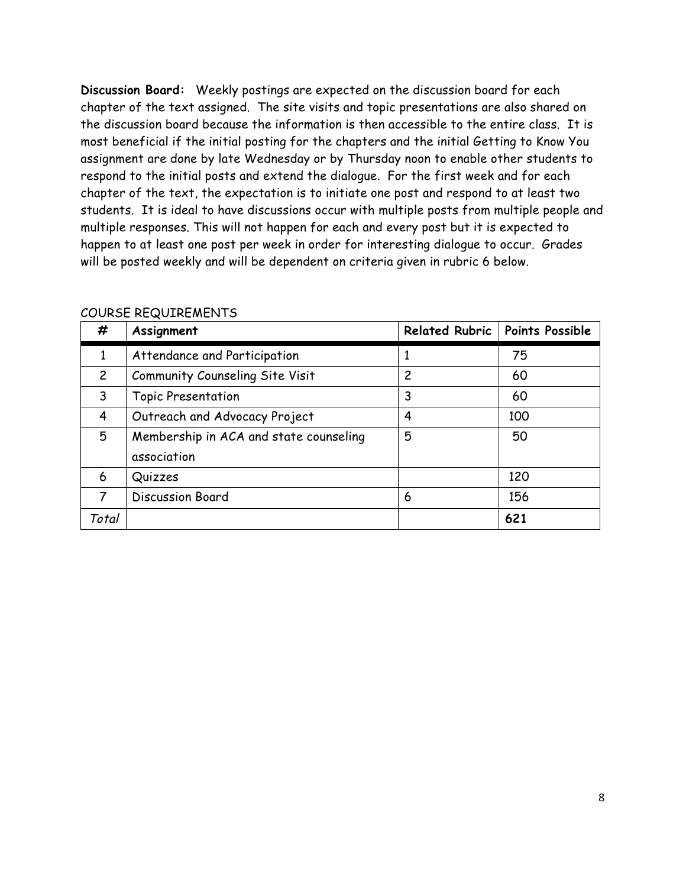**Discussion Board:** Weekly postings are expected on the discussion board for each chapter of the text assigned. The site visits and topic presentations are also shared on the discussion board because the information is then accessible to the entire class. It is most beneficial if the initial posting for the chapters and the initial Getting to Know You assignment are done by late Wednesday or by Thursday noon to enable other students to respond to the initial posts and extend the dialogue. For the first week and for each chapter of the text, the expectation is to initiate one post and respond to at least two students. It is ideal to have discussions occur with multiple posts from multiple people and multiple responses. This will not happen for each and every post but it is expected to happen to at least one post per week in order for interesting dialogue to occur. Grades will be posted weekly and will be dependent on criteria given in rubric 6 below.

| #              | Assignment                             |   | Related Rubric   Points Possible |
|----------------|----------------------------------------|---|----------------------------------|
| 1              | Attendance and Participation           |   | 75                               |
| $\overline{2}$ | Community Counseling Site Visit        | 2 | 60                               |
| 3              | <b>Topic Presentation</b>              | 3 | 60                               |
| 4              | Outreach and Advocacy Project          | 4 | 100                              |
| 5              | Membership in ACA and state counseling | 5 | 50                               |
|                | association                            |   |                                  |
| 6              | Quizzes                                |   | 120                              |
| 7              | <b>Discussion Board</b>                | 6 | 156                              |
| Total          |                                        |   | 621                              |

#### COURSE REQUIREMENTS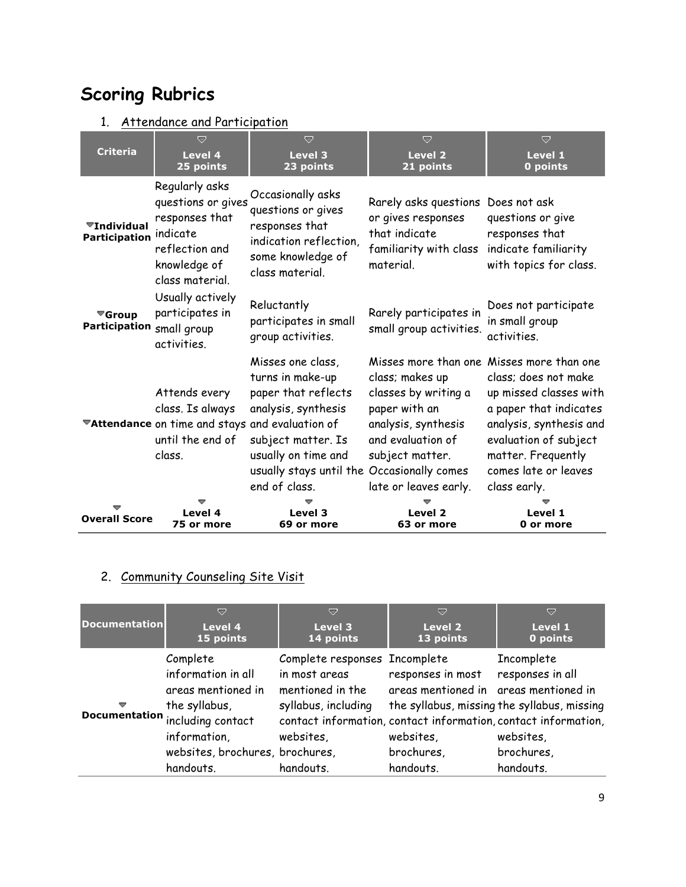# **Scoring Rubrics**

## 1. Attendance and Participation

| <b>Criteria</b>                                         | U<br>Level 4<br>25 points                                                                                               | $\overline{a}$<br><b>Level 3</b><br>23 points                                                                                                                                                   | U<br><b>Level 2</b><br>21 points                                                                                                                 | $\overline{a}$<br>Level 1<br>0 points                                                                                                                                                                                                   |
|---------------------------------------------------------|-------------------------------------------------------------------------------------------------------------------------|-------------------------------------------------------------------------------------------------------------------------------------------------------------------------------------------------|--------------------------------------------------------------------------------------------------------------------------------------------------|-----------------------------------------------------------------------------------------------------------------------------------------------------------------------------------------------------------------------------------------|
| $\blacktriangledown$ Individual<br><b>Participation</b> | Regularly asks<br>questions or gives<br>responses that<br>indicate<br>reflection and<br>knowledge of<br>class material. | Occasionally asks<br>questions or gives<br>responses that<br>indication reflection,<br>some knowledge of<br>class material.                                                                     | Rarely asks questions<br>or gives responses<br>that indicate<br>familiarity with class<br>material.                                              | Does not ask<br>questions or give<br>responses that<br>indicate familiarity<br>with topics for class.                                                                                                                                   |
| $\blacktriangledown$ Group<br><b>Participation</b>      | Usually actively<br>participates in<br>small group<br>activities.                                                       | Reluctantly<br>participates in small<br>group activities.                                                                                                                                       | Rarely participates in<br>small group activities.                                                                                                | Does not participate<br>in small group<br>activities.                                                                                                                                                                                   |
|                                                         | Attends every<br>class. Is always<br>*Attendance on time and stays and evaluation of<br>until the end of<br>class.      | Misses one class,<br>turns in make-up<br>paper that reflects<br>analysis, synthesis<br>subject matter. Is<br>usually on time and<br>usually stays until the Occasionally comes<br>end of class. | class; makes up<br>classes by writing a<br>paper with an<br>analysis, synthesis<br>and evaluation of<br>subject matter.<br>late or leaves early. | Misses more than one Misses more than one<br>class; does not make<br>up missed classes with<br>a paper that indicates<br>analysis, synthesis and<br>evaluation of subject<br>matter. Frequently<br>comes late or leaves<br>class early. |
| <b>Overall Score</b>                                    | Level 4<br>75 or more                                                                                                   | Level 3<br>69 or more                                                                                                                                                                           | Level <sub>2</sub><br>63 or more                                                                                                                 | Level 1<br>0 or more                                                                                                                                                                                                                    |

## 2. Community Counseling Site Visit

| <b>Documentation</b> | ▽                                                                                                                                                                        | ▽                                                                                                                   | ᇦ                                                                                                  | ▽                                                                                                                                                                                       |
|----------------------|--------------------------------------------------------------------------------------------------------------------------------------------------------------------------|---------------------------------------------------------------------------------------------------------------------|----------------------------------------------------------------------------------------------------|-----------------------------------------------------------------------------------------------------------------------------------------------------------------------------------------|
|                      | Level 4                                                                                                                                                                  | Level 3                                                                                                             | Level 2                                                                                            | Level 1                                                                                                                                                                                 |
|                      | 15 points                                                                                                                                                                | 14 points                                                                                                           | 13 points                                                                                          | 0 points                                                                                                                                                                                |
| ▽                    | Complete<br>information in all<br>areas mentioned in<br>the syllabus,<br>Documentation including contact<br>information,<br>websites, brochures, brochures,<br>handouts. | Complete responses Incomplete<br>in most areas<br>mentioned in the<br>syllabus, including<br>websites,<br>handouts. | responses in most<br>areas mentioned in areas mentioned in<br>websites,<br>brochures,<br>handouts. | Incomplete<br>responses in all<br>the syllabus, missing the syllabus, missing<br>contact information, contact information, contact information,<br>websites,<br>brochures,<br>handouts. |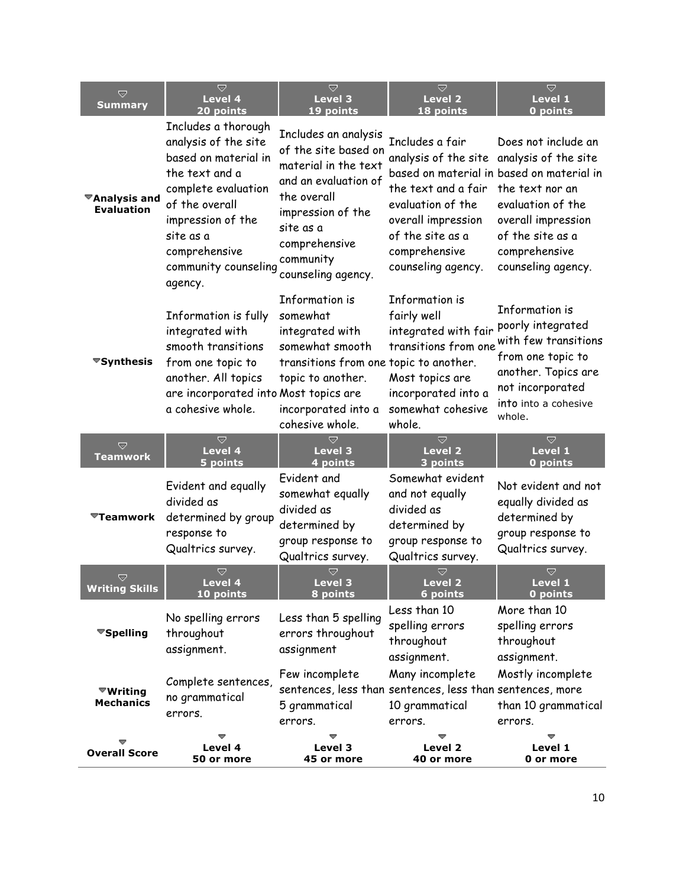| V<br><b>Summary</b>                                       | $\overline{\nabla}$<br><b>Level 4</b><br>20 points                                                                                                                                                                   | $\overline{\nabla}$<br><b>Level 3</b><br>19 points                                                                                                                                                | $\overline{\nabla}$<br><b>Level 2</b><br>18 points                                                                                                                                        | $\bigtriangledown$<br>Level 1<br>0 points                                                                                                                                                 |
|-----------------------------------------------------------|----------------------------------------------------------------------------------------------------------------------------------------------------------------------------------------------------------------------|---------------------------------------------------------------------------------------------------------------------------------------------------------------------------------------------------|-------------------------------------------------------------------------------------------------------------------------------------------------------------------------------------------|-------------------------------------------------------------------------------------------------------------------------------------------------------------------------------------------|
| $\overline{\mathbf{z}}$ Analysis and<br><b>Evaluation</b> | Includes a thorough<br>analysis of the site<br>based on material in<br>the text and a<br>complete evaluation<br>of the overall<br>impression of the<br>site as a<br>comprehensive<br>community counseling<br>agency. | Includes an analysis<br>of the site based on<br>material in the text<br>and an evaluation of<br>the overall<br>impression of the<br>site as a<br>comprehensive<br>community<br>counseling agency. | Includes a fair<br>analysis of the site analysis of the site<br>the text and a fair<br>evaluation of the<br>overall impression<br>of the site as a<br>comprehensive<br>counseling agency. | Does not include an<br>based on material in based on material in<br>the text nor an<br>evaluation of the<br>overall impression<br>of the site as a<br>comprehensive<br>counseling agency. |
| ▼Synthesis                                                | Information is fully<br>integrated with<br>smooth transitions<br>from one topic to<br>another. All topics<br>are incorporated into Most topics are<br>a cohesive whole.                                              | Information is<br>somewhat<br>integrated with<br>somewhat smooth<br>transitions from one topic to another.<br>topic to another.<br>incorporated into a<br>cohesive whole.                         | Information is<br>fairly well<br>integrated with fair<br>transitions from one<br>Most topics are<br>incorporated into a<br>somewhat cohesive<br>whole.                                    | Information is<br>poorly integrated<br>with few transitions<br>from one topic to<br>another. Topics are<br>not incorporated<br>into into a cohesive<br>whole.                             |
| ᇦ<br><b>Teamwork</b>                                      | ᇦ<br>Level 4<br>5 points                                                                                                                                                                                             | $\overline{\phantom{0}}$<br><b>Level 3</b><br>4 points                                                                                                                                            | ᄛ<br><b>Level 2</b><br>3 points                                                                                                                                                           | ᇦ<br>Level 1<br>0 points                                                                                                                                                                  |
| $\overline{\mathbf{v}}$ Teamwork                          | Evident and equally<br>divided as<br>determined by group<br>response to<br>Qualtrics survey.                                                                                                                         | Evident and<br>somewhat equally<br>divided as<br>determined by<br>group response to<br>Qualtrics survey.                                                                                          | Somewhat evident<br>and not equally<br>divided as<br>determined by<br>group response to<br>Qualtrics survey.                                                                              | Not evident and not<br>equally divided as<br>determined by<br>group response to<br>Qualtrics survey.                                                                                      |
| V<br><b>Writing Skills</b>                                | ᇦ<br><b>Level 4</b><br>10 points                                                                                                                                                                                     | Ó<br>Level 3<br>8 points                                                                                                                                                                          | v<br><b>Level 2</b><br>$6$ points                                                                                                                                                         | v<br>Level 1<br>0 points                                                                                                                                                                  |
| ▼Spelling                                                 | No spelling errors<br>throughout<br>assignment.                                                                                                                                                                      | Less than 5 spelling<br>errors throughout<br>assignment                                                                                                                                           | Less than 10<br>spelling errors<br>throughout<br>assignment.                                                                                                                              | More than 10<br>spelling errors<br>throughout<br>assignment.                                                                                                                              |
| $\overline{\mathbf{w}}$ Writing<br><b>Mechanics</b>       | Complete sentences,<br>no grammatical<br>errors.                                                                                                                                                                     | Few incomplete<br>sentences, less than sentences, less than sentences, more<br>5 grammatical<br>errors.                                                                                           | Many incomplete<br>10 grammatical<br>errors.                                                                                                                                              | Mostly incomplete<br>than 10 grammatical<br>errors.                                                                                                                                       |
| <b>Overall Score</b>                                      | Level 4<br>50 or more                                                                                                                                                                                                | Level 3<br>45 or more                                                                                                                                                                             | Level 2<br>40 or more                                                                                                                                                                     | Level 1<br>0 or more                                                                                                                                                                      |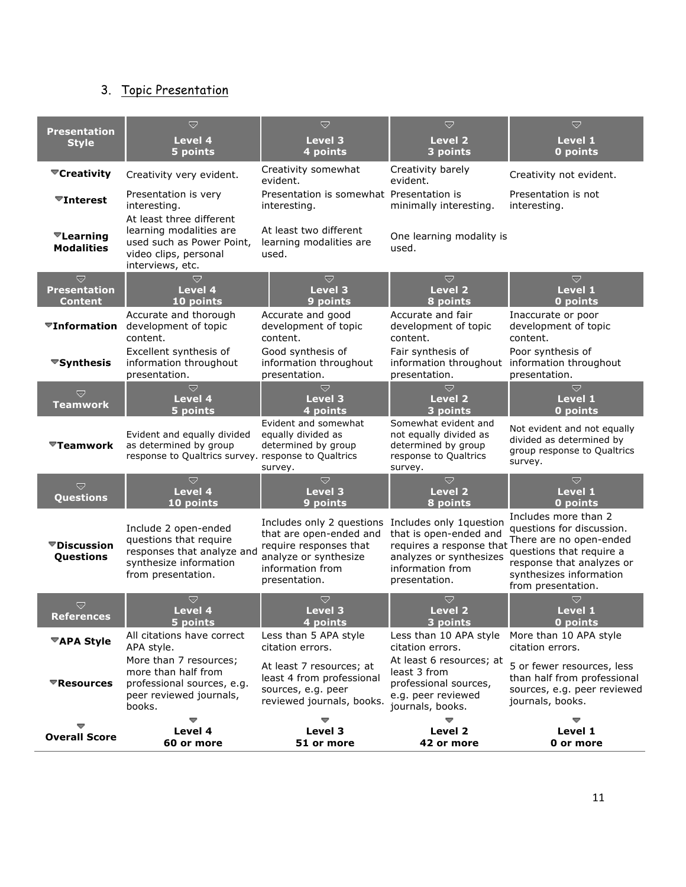## 3. Topic Presentation

| <b>Presentation</b>                                          | D                                                                                                                             | $\bigtriangledown$                                                                                                                           | $\bigtriangledown$                                                                                                                            | Ó                                                                                                                                                                                      |
|--------------------------------------------------------------|-------------------------------------------------------------------------------------------------------------------------------|----------------------------------------------------------------------------------------------------------------------------------------------|-----------------------------------------------------------------------------------------------------------------------------------------------|----------------------------------------------------------------------------------------------------------------------------------------------------------------------------------------|
| <b>Style</b>                                                 | Level 4<br>5 points                                                                                                           | <b>Level 3</b><br>4 points                                                                                                                   | Level 2<br>3 points                                                                                                                           | Level 1<br>0 points                                                                                                                                                                    |
|                                                              |                                                                                                                               | Creativity somewhat                                                                                                                          | Creativity barely                                                                                                                             |                                                                                                                                                                                        |
| ▼Creativity                                                  | Creativity very evident.                                                                                                      | evident.                                                                                                                                     | evident.                                                                                                                                      | Creativity not evident.                                                                                                                                                                |
| $\blacktriangledown$ Interest                                | Presentation is very<br>interesting.                                                                                          | Presentation is somewhat Presentation is<br>interesting.                                                                                     | minimally interesting.                                                                                                                        | Presentation is not<br>interesting.                                                                                                                                                    |
| $\nabla$ Learning<br><b>Modalities</b>                       | At least three different<br>learning modalities are<br>used such as Power Point,<br>video clips, personal<br>interviews, etc. | At least two different<br>learning modalities are<br>used.                                                                                   | One learning modality is<br>used.                                                                                                             |                                                                                                                                                                                        |
| $\overline{\nabla}$<br><b>Presentation</b><br><b>Content</b> | $\bigtriangledown$<br>Level 4<br>10 points                                                                                    | $\bigtriangledown$<br><b>Level 3</b><br>9 points                                                                                             | $\bigtriangledown$<br><b>Level 2</b><br>8 points                                                                                              | Ó<br>Level 1<br>0 points                                                                                                                                                               |
|                                                              | Accurate and thorough<br><b>▼Information</b> development of topic<br>content.                                                 | Accurate and good<br>development of topic<br>content.                                                                                        | Accurate and fair<br>development of topic<br>content.                                                                                         | Inaccurate or poor<br>development of topic<br>content.                                                                                                                                 |
| $\blacktriangledown$ Synthesis                               | Excellent synthesis of<br>information throughout<br>presentation.                                                             | Good synthesis of<br>information throughout<br>presentation.                                                                                 | Fair synthesis of<br>information throughout<br>presentation.                                                                                  | Poor synthesis of<br>information throughout<br>presentation.                                                                                                                           |
| Ó<br><b>Teamwork</b>                                         | $\bigtriangledown$<br>Level 4<br>5 points                                                                                     | $\bigtriangledown$<br>Level 3<br>4 points                                                                                                    | $\bigtriangledown$<br><b>Level 2</b><br>3 points                                                                                              | $\bigtriangledown$<br>Level 1<br>0 points                                                                                                                                              |
| $\overline{\mathbf{v}}$ Teamwork                             | Evident and equally divided<br>as determined by group<br>response to Qualtrics survey. response to Qualtrics                  | Evident and somewhat<br>equally divided as<br>determined by group<br>survey.                                                                 | Somewhat evident and<br>not equally divided as<br>determined by group<br>response to Qualtrics<br>survey.                                     | Not evident and not equally<br>divided as determined by<br>group response to Qualtrics<br>survey.                                                                                      |
| Ó<br>Questions                                               | Ó<br>Level 4<br>10 points                                                                                                     | $\bigtriangledown$<br><b>Level 3</b><br>9 points                                                                                             | $\bigtriangledown$<br><b>Level 2</b><br>8 points                                                                                              | Ó<br>Level 1<br>0 points                                                                                                                                                               |
| ▼Discussion<br>Questions                                     | Include 2 open-ended<br>questions that require<br>responses that analyze and<br>synthesize information<br>from presentation.  | Includes only 2 questions<br>that are open-ended and<br>require responses that<br>analyze or synthesize<br>information from<br>presentation. | Includes only 1question<br>that is open-ended and<br>requires a response that<br>analyzes or synthesizes<br>information from<br>presentation. | Includes more than 2<br>questions for discussion.<br>There are no open-ended<br>questions that require a<br>response that analyzes or<br>synthesizes information<br>from presentation. |
| ᇦ<br><b>References</b>                                       | ᇦ<br>Level 4<br>5 points                                                                                                      | ᇦ<br><b>Level 3</b><br>4 points                                                                                                              | ᇦ<br><b>Level 2</b><br>3 points                                                                                                               | Ō<br>Level 1<br>0 points                                                                                                                                                               |
| <b>™APA Style</b>                                            | All citations have correct<br>APA style.                                                                                      | Less than 5 APA style<br>citation errors.                                                                                                    | Less than 10 APA style<br>citation errors.                                                                                                    | More than 10 APA style<br>citation errors.                                                                                                                                             |
| $\nabla$ Resources                                           | More than 7 resources;<br>more than half from<br>professional sources, e.g.<br>peer reviewed journals,<br>books.              | At least 7 resources; at<br>least 4 from professional<br>sources, e.g. peer<br>reviewed journals, books.                                     | At least 6 resources; at<br>least 3 from<br>professional sources,<br>e.g. peer reviewed<br>journals, books.                                   | 5 or fewer resources, less<br>than half from professional<br>sources, e.g. peer reviewed<br>journals, books.                                                                           |
| <b>Overall Score</b>                                         | Level 4                                                                                                                       | Level 3                                                                                                                                      | Level <sub>2</sub>                                                                                                                            | Level 1                                                                                                                                                                                |
|                                                              | 60 or more                                                                                                                    | 51 or more                                                                                                                                   | 42 or more                                                                                                                                    | 0 or more                                                                                                                                                                              |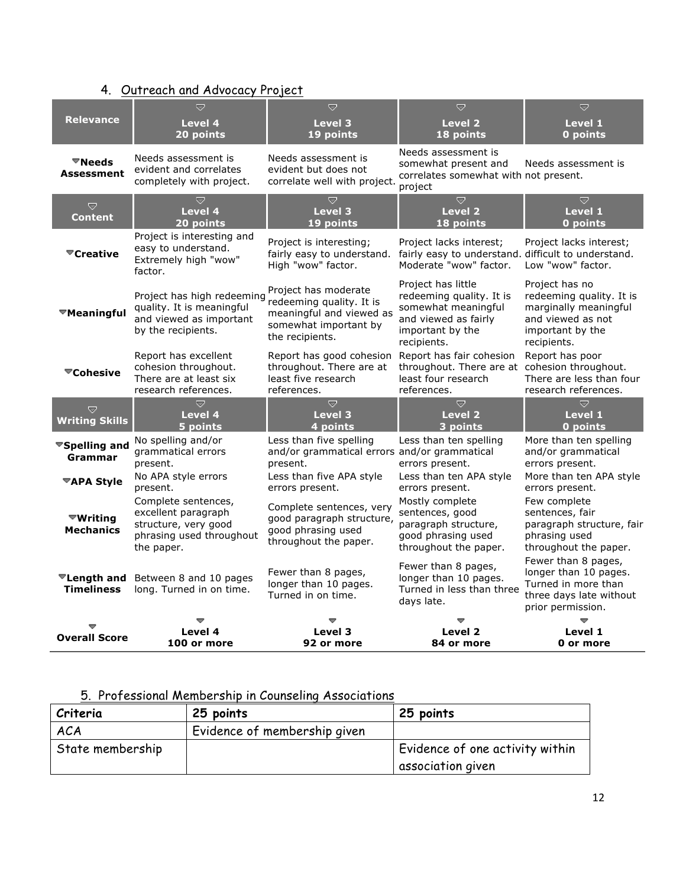## 4. Outreach and Advocacy Project

|                                               | $\overline{\nabla}$                                                                                          | $\overline{\nabla}$                                                                                                      | U                                                                                                                                | $\Rightarrow$                                                                                                               |
|-----------------------------------------------|--------------------------------------------------------------------------------------------------------------|--------------------------------------------------------------------------------------------------------------------------|----------------------------------------------------------------------------------------------------------------------------------|-----------------------------------------------------------------------------------------------------------------------------|
| <b>Relevance</b>                              | <b>Level 4</b><br>20 points                                                                                  | Level 3<br>19 points                                                                                                     | <b>Level 2</b><br>18 points                                                                                                      | Level 1<br>0 points                                                                                                         |
| $\mathbf{\mathbf{\nabla}$ Needs<br>Assessment | Needs assessment is<br>evident and correlates<br>completely with project.                                    | Needs assessment is<br>evident but does not<br>correlate well with project.                                              | Needs assessment is<br>somewhat present and<br>correlates somewhat with not present.<br>project                                  | Needs assessment is                                                                                                         |
| Ō<br><b>Content</b>                           | $\Rightarrow$<br>Level 4<br>20 points                                                                        | $\bigtriangledown$<br>Level 3<br>19 points                                                                               | $\bigtriangledown$<br><b>Level 2</b><br>18 points                                                                                | $\bigtriangledown$<br>Level 1<br>0 points                                                                                   |
| ▼Creative                                     | Project is interesting and<br>easy to understand.<br>Extremely high "wow"<br>factor.                         | Project is interesting;<br>fairly easy to understand.<br>High "wow" factor.                                              | Project lacks interest;<br>fairly easy to understand. difficult to understand.<br>Moderate "wow" factor.                         | Project lacks interest;<br>Low "wow" factor.                                                                                |
| ™Meaningful                                   | Project has high redeeming<br>quality. It is meaningful<br>and viewed as important<br>by the recipients.     | Project has moderate<br>redeeming quality. It is<br>meaningful and viewed as<br>somewhat important by<br>the recipients. | Project has little<br>redeeming quality. It is<br>somewhat meaningful<br>and viewed as fairly<br>important by the<br>recipients. | Project has no<br>redeeming quality. It is<br>marginally meaningful<br>and viewed as not<br>important by the<br>recipients. |
| $\blacktriangledown$ Cohesive                 | Report has excellent<br>cohesion throughout.<br>There are at least six<br>research references.               | Report has good cohesion<br>throughout. There are at<br>least five research<br>references.                               | Report has fair cohesion<br>throughout. There are at cohesion throughout.<br>least four research<br>references.                  | Report has poor<br>There are less than four<br>research references.                                                         |
| Ó<br><b>Writing Skills</b>                    | $\overline{\nabla}$<br><b>Level 4</b><br>5 points                                                            | $\overline{\nabla}$<br><b>Level 3</b><br>4 points                                                                        | $\overline{\nabla}$<br>Level 2<br>3 points                                                                                       | $\overline{\nabla}$<br>Level 1<br>0 points                                                                                  |
| <sup>₩</sup> Spelling and<br>Grammar          | No spelling and/or<br>grammatical errors<br>present.                                                         | Less than five spelling<br>and/or grammatical errors and/or grammatical<br>present.                                      | Less than ten spelling<br>errors present.                                                                                        | More than ten spelling<br>and/or grammatical<br>errors present.                                                             |
| <b><del></del>TAPA Style</b>                  | No APA style errors<br>present.                                                                              | Less than five APA style<br>errors present.                                                                              | Less than ten APA style<br>errors present.                                                                                       | More than ten APA style<br>errors present.                                                                                  |
| ™Writina<br><b>Mechanics</b>                  | Complete sentences,<br>excellent paragraph<br>structure, very good<br>phrasing used throughout<br>the paper. | Complete sentences, very<br>good paragraph structure,<br>good phrasing used<br>throughout the paper.                     | Mostly complete<br>sentences, good<br>paragraph structure,<br>good phrasing used<br>throughout the paper.                        | Few complete<br>sentences, fair<br>paragraph structure, fair<br>phrasing used<br>throughout the paper.                      |
| <b>Timeliness</b>                             | <b>ELength and</b> Between 8 and 10 pages<br>long. Turned in on time.                                        | Fewer than 8 pages,<br>longer than 10 pages.<br>Turned in on time.                                                       | Fewer than 8 pages,<br>longer than 10 pages.<br>Turned in less than three<br>days late.                                          | Fewer than 8 pages,<br>longer than 10 pages.<br>Turned in more than<br>three days late without<br>prior permission.         |
|                                               | Level 4                                                                                                      | Level 3                                                                                                                  | Level <sub>2</sub>                                                                                                               | Level 1                                                                                                                     |
| <b>Overall Score</b>                          | 100 or more                                                                                                  | 92 or more                                                                                                               | 84 or more                                                                                                                       | 0 or more                                                                                                                   |

## 5. Professional Membership in Counseling Associations

| Criteria           | 25 points                    | 25 points                       |
|--------------------|------------------------------|---------------------------------|
| <b>ACA</b>         | Evidence of membership given |                                 |
| ' State membership |                              | Evidence of one activity within |
|                    |                              | association given               |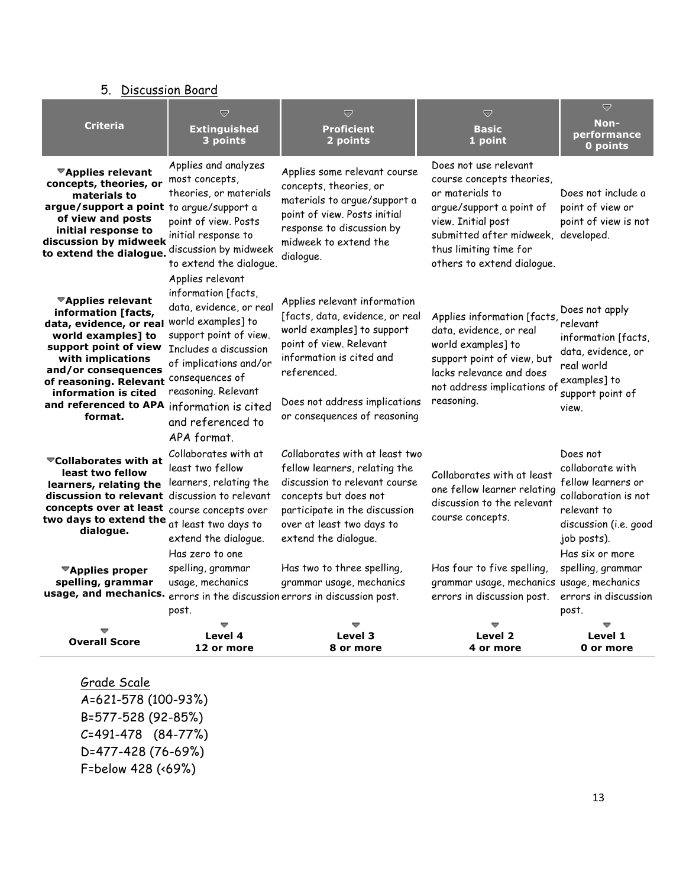| 5. Discussion Board                                                                                                                                                                                                                                                                                         |                                                                                                                                                                                                                                  |                                                                                                                                                                                                                                      |                                                                                                                                                                                                                        |                                                                                                                                                      |
|-------------------------------------------------------------------------------------------------------------------------------------------------------------------------------------------------------------------------------------------------------------------------------------------------------------|----------------------------------------------------------------------------------------------------------------------------------------------------------------------------------------------------------------------------------|--------------------------------------------------------------------------------------------------------------------------------------------------------------------------------------------------------------------------------------|------------------------------------------------------------------------------------------------------------------------------------------------------------------------------------------------------------------------|------------------------------------------------------------------------------------------------------------------------------------------------------|
| <b>Criteria</b>                                                                                                                                                                                                                                                                                             | Ó<br><b>Extinguished</b><br>3 points                                                                                                                                                                                             | U<br><b>Proficient</b><br>2 points                                                                                                                                                                                                   | Ō<br><b>Basic</b><br>1 point                                                                                                                                                                                           | Ó<br>Non-<br>performance<br>0 points                                                                                                                 |
| <sup>₩</sup> Applies relevant<br>concepts, theories, or<br>materials to<br>argue/support a point to arque/support a<br>of view and posts<br>initial response to<br>discussion by midweek<br>to extend the dialogue.                                                                                         | Applies and analyzes<br>most concepts,<br>theories, or materials<br>point of view. Posts<br>initial response to<br>discussion by midweek<br>to extend the dialogue.                                                              | Applies some relevant course<br>concepts, theories, or<br>materials to argue/support a<br>point of view. Posts initial<br>response to discussion by<br>midweek to extend the<br>dialogue.                                            | Does not use relevant<br>course concepts theories,<br>or materials to<br>arque/support a point of<br>view. Initial post<br>submitted after midweek, developed.<br>thus limiting time for<br>others to extend dialogue. | Does not include a<br>point of view or<br>point of view is not                                                                                       |
| <b><sup>₩</sup>Applies relevant</b><br>information [facts,<br>data, evidence, or real<br>world examples] to<br>support point of view<br>with implications<br>and/or consequences<br>of reasoning. Relevant consequences of<br>information is cited<br>and referenced to APA information is cited<br>format. | Applies relevant<br>information [facts,<br>data, evidence, or real<br>world examples] to<br>support point of view.<br>Includes a discussion<br>of implications and/or<br>reasoning. Relevant<br>and referenced to<br>APA format. | Applies relevant information<br>[facts, data, evidence, or real<br>world examples] to support<br>point of view. Relevant<br>information is cited and<br>referenced.<br>Does not address implications<br>or consequences of reasoning | Applies information [facts,<br>data, evidence, or real<br>world examples] to<br>support point of view, but<br>lacks relevance and does<br>not address implications of<br>reasoning.                                    | Does not apply<br>relevant<br>information [facts,<br>data, evidence, or<br>real world<br>examples] to<br>support point of<br>view.                   |
| <b>▼Collaborates with at</b><br>least two fellow<br>learners, relating the<br>discussion to relevant discussion to relevant<br>concepts over at least<br>two days to extend the<br>dialogue.                                                                                                                | Collaborates with at<br>least two fellow<br>learners, relating the<br>course concepts over<br>at least two days to<br>extend the dialogue.<br>Has zero to one                                                                    | Collaborates with at least two<br>fellow learners, relating the<br>discussion to relevant course<br>concepts but does not<br>participate in the discussion<br>over at least two days to<br>extend the dialogue.                      | Collaborates with at least<br>one fellow learner relating<br>discussion to the relevant<br>course concepts.                                                                                                            | Does not<br>collaborate with<br>fellow learners or<br>collaboration is not<br>relevant to<br>discussion (i.e. good<br>job posts).<br>Has six or more |
| <b><sup>₩</sup>Applies proper</b><br>spelling, grammar<br>usage, and mechanics.                                                                                                                                                                                                                             | spelling, grammar<br>usage, mechanics<br>post.                                                                                                                                                                                   | Has two to three spelling,<br>grammar usage, mechanics<br>errors in the discussion errors in discussion post.                                                                                                                        | Has four to five spelling,<br>grammar usage, mechanics usage, mechanics<br>errors in discussion post.                                                                                                                  | spelling, grammar<br>errors in discussion<br>post.                                                                                                   |

| <b>Overall Score</b> | Level 4    | Level 3   | Level 2   | Level 1   |
|----------------------|------------|-----------|-----------|-----------|
|                      | 12 or more | 8 or more | 4 or more | 0 or more |

Grade Scale A=621-578 (100-93%) B=577-528 (92-85%) C=491-478 (84-77%) D=477-428 (76-69%) F=below 428 (<69%)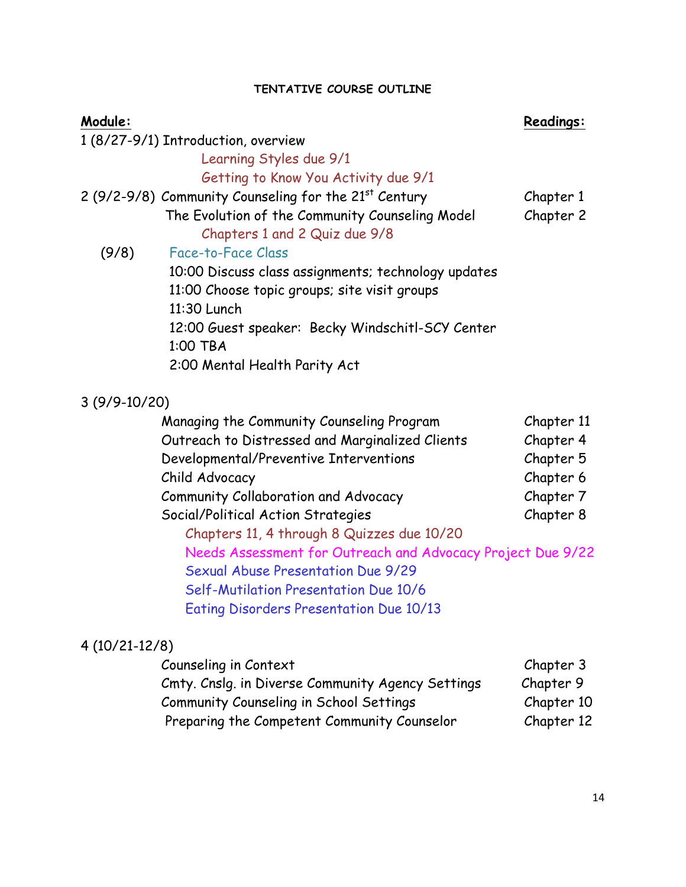## **TENTATIVE COURSE OUTLINE**

| Module:         |                                                                   | Readings:  |
|-----------------|-------------------------------------------------------------------|------------|
|                 | 1 (8/27-9/1) Introduction, overview                               |            |
|                 | Learning Styles due 9/1                                           |            |
|                 | Getting to Know You Activity due 9/1                              |            |
|                 | 2 (9/2-9/8) Community Counseling for the 21 <sup>st</sup> Century | Chapter 1  |
|                 | The Evolution of the Community Counseling Model                   | Chapter 2  |
|                 | Chapters 1 and 2 Quiz due 9/8                                     |            |
| (9/8)           | Face-to-Face Class                                                |            |
|                 | 10:00 Discuss class assignments; technology updates               |            |
|                 | 11:00 Choose topic groups; site visit groups                      |            |
|                 | 11:30 Lunch                                                       |            |
|                 | 12:00 Guest speaker: Becky Windschitl-SCY Center                  |            |
|                 | 1:00 TBA                                                          |            |
|                 | 2:00 Mental Health Parity Act                                     |            |
| $3(9/9-10/20)$  |                                                                   |            |
|                 | Managing the Community Counseling Program                         | Chapter 11 |
|                 | Outreach to Distressed and Marginalized Clients                   | Chapter 4  |
|                 | Developmental/Preventive Interventions                            | Chapter 5  |
|                 | Child Advocacy                                                    | Chapter 6  |
|                 | Community Collaboration and Advocacy                              | Chapter 7  |
|                 | Social/Political Action Strategies                                | Chapter 8  |
|                 | Chapters 11, 4 through 8 Quizzes due 10/20                        |            |
|                 | Needs Assessment for Outreach and Advocacy Project Due 9/22       |            |
|                 | Sexual Abuse Presentation Due 9/29                                |            |
|                 | Self-Mutilation Presentation Due 10/6                             |            |
|                 | Eating Disorders Presentation Due 10/13                           |            |
|                 |                                                                   |            |
| $4(10/21-12/8)$ |                                                                   |            |

| Counseling in Context                             | Chapter 3  |
|---------------------------------------------------|------------|
| Cmty. Cnslg. in Diverse Community Agency Settings | Chapter 9  |
| Community Counseling in School Settings           | Chapter 10 |
| Preparing the Competent Community Counselor       | Chapter 12 |